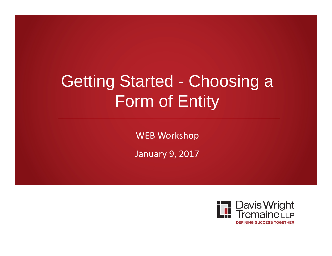# Getting Started - Choosing a Form of Entity

WEB Workshop

January 9, 2017

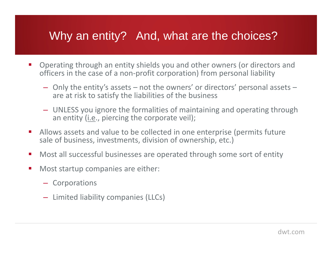# Why an entity? And, what are the choices?

- $\mathcal{L}_{\mathcal{A}}$  Operating through an entity shields you and other owners (or directors and officers in the case of a non-profit corporation) from personal liability
	- Only the entity's assets not the owners' or directors' personal assets are at risk to satisfy the liabilities of the business
	- UNLESS you ignore the formalities of maintaining and operating through an entity (i.e., piercing the corporate veil);
- $\mathcal{L}_{\mathcal{A}}$  Allows assets and value to be collected in one enterprise (permits future sale of business, investments, division of ownership, etc.)
- $\mathcal{L}_{\mathcal{A}}$ Most all successful businesses are operated through some sort of entity
- $\overline{\phantom{a}}$  Most startup companies are either:
	- Corporations
	- Limited liability companies (LLCs)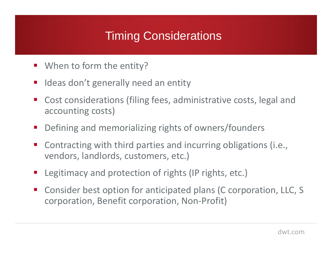# Timing Considerations

- When to form the entity?
- $\mathcal{L}_{\mathcal{A}}$ Ideas don't generally need an entity
- $\mathcal{L}_{\mathcal{A}}$  Cost considerations (filing fees, administrative costs, legal and accounting costs)
- Defining and memorializing rights of owners/founders
- $\mathcal{L}_{\mathcal{A}}$  Contracting with third parties and incurring obligations (i.e., vendors, landlords, customers, etc.)
- $\mathcal{L}^{\text{max}}_{\text{max}}$ Legitimacy and protection of rights (IP rights, etc.)
- $\mathcal{L}_{\mathcal{A}}$  Consider best option for anticipated plans (C corporation, LLC, S corporation, Benefit corporation, Non-Profit)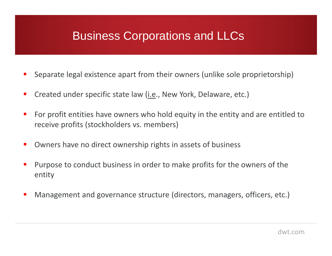# Business Corporations and LLCs

- **CONTRACTOR** Separate legal existence apart from their owners (unlike sole proprietorship)
- $\mathbf{r}$ Created under specific state law (i.e., New York, Delaware, etc.)
- $\mathcal{L}_{\mathcal{A}}$  For profit entities have owners who hold equity in the entity and are entitled to receive profits (stockholders vs. members)
- $\overline{\phantom{a}}$ Owners have no direct ownership rights in assets of business
- **CONTRACTOR**  Purpose to conduct business in order to make profits for the owners of the entity
- $\blacksquare$ Management and governance structure (directors, managers, officers, etc.)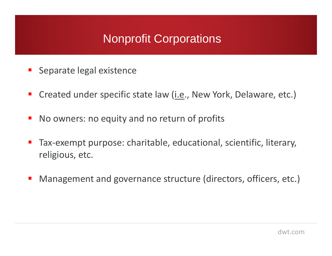# Nonprofit Corporations

- Ξ Separate legal existence
- **Service Service** Created under specific state law (*i.e.*, New York, Delaware, etc.)
- No owners: no equity and no return of profits
- Tax-exempt purpose: charitable, educational, scientific, literary, religious, etc.
- Management and governance structure (directors, officers, etc.)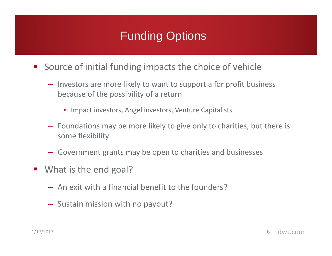# Funding Options

- **Source of initial funding impacts the choice of vehicle** 
	- Investors are more likely to want to support a for profit business because of the possibility of a return
		- Impact investors, Angel investors, Venture Capitalists
	- Foundations may be more likely to give only to charities, but there is some flexibility
	- Government grants may be open to charities and businesses
- What is the end goal?
	- An exit with a financial benefit to the founders?
	- Sustain mission with no payout?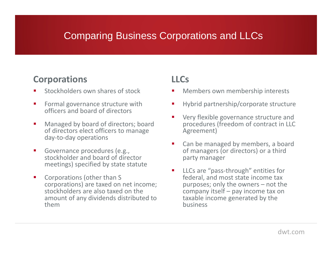### Comparing Business Corporations and LLCs

### **Corporations**

- П Stockholders own shares of stock
- $\mathcal{L}_{\mathcal{A}}$  Formal governance structure with officers and board of directors
- $\mathcal{L}_{\mathcal{A}}$  Managed by board of directors; board of directors elect officers to manage day-to-day operations
- $\mathcal{L}_{\mathcal{A}}$  Governance procedures (e.g., stockholder and board of director meetings) specified by state statute
- $\mathcal{L}_{\mathcal{A}}$  Corporations (other than S corporations) are taxed on net income; stockholders are also taxed on the amount of any dividends distributed to them

### **LLCs**

- П Members own membership interests
- н Hybrid partnership/corporate structure
- П Very flexible governance structure and procedures (freedom of contract in LLC Agreement)
- н Can be managed by members, a board of managers (or directors) or a third party manager
- П LLCs are "pass-through" entities for federal, and most state income tax purposes; only the owners – not the company itself – pay income tax on taxable income generated by the business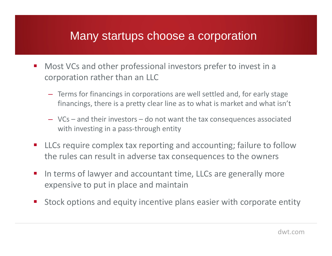### Many startups choose a corporation

- Most VCs and other professional investors prefer to invest in a corporation rather than an LLC
	- Terms for financings in corporations are well settled and, for early stage financings, there is a pretty clear line as to what is market and what isn't
	- VCs and their investors do not want the tax consequences associated with investing in a pass-through entity
- $\mathcal{L}_{\mathcal{A}}$  LLCs require complex tax reporting and accounting; failure to follow the rules can result in adverse tax consequences to the owners
- In terms of lawyer and accountant time, LLCs are generally more expensive to put in place and maintain
- $\mathcal{L}_{\mathcal{A}}$ Stock options and equity incentive plans easier with corporate entity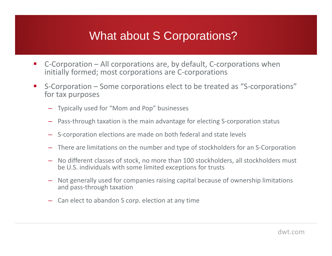# What about S Corporations?

- $\mathcal{L}_{\mathcal{A}}$  C-Corporation – All corporations are, by default, C-corporations when initially formed; most corporations are C-corporations
- $\mathcal{L}_{\mathcal{A}}$  S-Corporation – Some corporations elect to be treated as "S-corporations" for tax purposes
	- Typically used for "Mom and Pop" businesses
	- Pass-through taxation is the main advantage for electing S-corporation status
	- S-corporation elections are made on both federal and state levels
	- There are limitations on the number and type of stockholders for an S-Corporation
	- No different classes of stock, no more than 100 stockholders, all stockholders must be U.S. individuals with some limited exceptions for trusts
	- Not generally used for companies raising capital because of ownership limitations and pass-through taxation
	- Can elect to abandon S corp. election at any time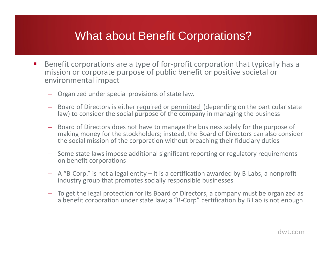### What about Benefit Corporations?

- $\mathcal{L}(\mathcal{L})$  Benefit corporations are a type of for-profit corporation that typically has a mission or corporate purpose of public benefit or positive societal or environmental impact
	- Organized under special provisions of state law.
	- Board of Directors is either required or permitted (depending on the particular state law) to consider the social purpose of the company in managing the business
	- Board of Directors does not have to manage the business solely for the purpose of making money for the stockholders; instead, the Board of Directors can also consider the social mission of the corporation without breaching their fiduciary duties
	- Some state laws impose additional significant reporting or regulatory requirements on benefit corporations
	- A "B-Corp." is not a legal entity it is a certification awarded by B-Labs, a nonprofit industry group that promotes socially responsible businesses
	- To get the legal protection for its Board of Directors, a company must be organized as a benefit corporation under state law; a "B-Corp" certification by B Lab is not enough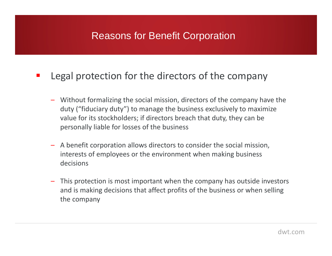### Reasons for Benefit Corporation

#### $\mathcal{L}_{\mathcal{A}}$ Legal protection for the directors of the company

- – Without formalizing the social mission, directors of the company have the duty ("fiduciary duty") to manage the business exclusively to maximize value for its stockholders; if directors breach that duty, they can be personally liable for losses of the business
- A benefit corporation allows directors to consider the social mission, interests of employees or the environment when making business decisions
- – This protection is most important when the company has outside investors and is making decisions that affect profits of the business or when selling the company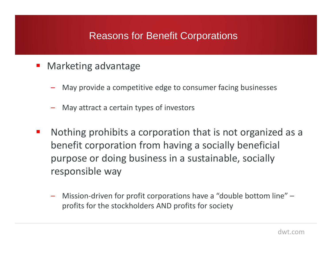### Reasons for Benefit Corporations

- **■** Marketing advantage
	- May provide a competitive edge to consumer facing businesses
	- May attract a certain types of investors
- **The State**  Nothing prohibits a corporation that is not organized as a benefit corporation from having a socially beneficial purpose or doing business in a sustainable, socially responsible way
	- Mission-driven for profit corporations have a "double bottom line" profits for the stockholders AND profits for society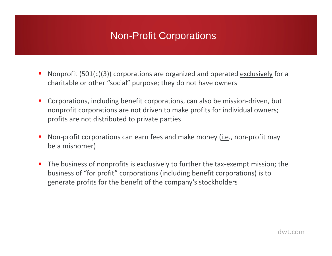### Non-Profit Corporations

- П Nonprofit (501(c)(3)) corporations are organized and operated exclusively for a charitable or other "social" purpose; they do not have owners
- **Corporations, including benefit corporations, can also be mission-driven, but** nonprofit corporations are not driven to make profits for individual owners; profits are not distributed to private parties
- П Non-profit corporations can earn fees and make money (i.e., non-profit may be a misnomer)
- П The business of nonprofits is exclusively to further the tax-exempt mission; the business of "for profit" corporations (including benefit corporations) is to generate profits for the benefit of the company's stockholders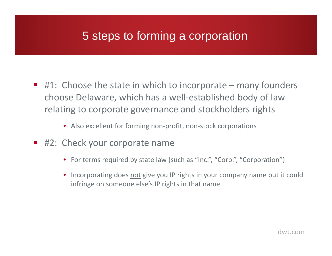# 5 steps to forming a corporation

- $\blacksquare$  #1: Choose the state in which to incorporate many founders choose Delaware, which has a well-established body of law relating to corporate governance and stockholders rights
	- Also excellent for forming non-profit, non-stock corporations
- $\mathcal{L}_{\mathcal{A}}$  #2: Check your corporate name
	- For terms required by state law (such as "Inc.", "Corp.", "Corporation")
	- $\bullet$  Incorporating does not give you IP rights in your company name but it could infringe on someone else's IP rights in that name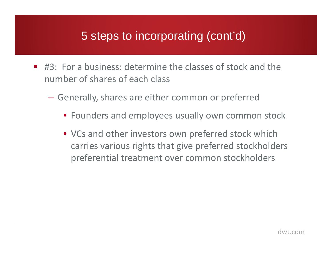# 5 steps to incorporating (cont'd)

- #3: For a business: determine the classes of stock and the number of shares of each class
	- $\mathcal{L}_{\mathcal{A}}$  Generally, shares are either common or preferred
		- Founders and employees usually own common stock
		- VCs and other investors own preferred stock which carries various rights that give preferred stockholders preferential treatment over common stockholders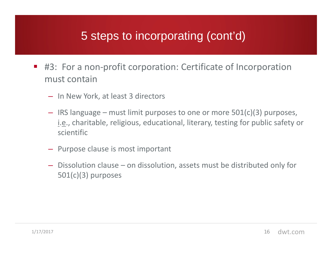# 5 steps to incorporating (cont'd)

- #3: For a non-profit corporation: Certificate of Incorporation must contain
	- In New York, at least 3 directors
	- IRS language must limit purposes to one or more 501(c)(3) purposes, i.e., charitable, religious, educational, literary, testing for public safety or scientific
	- Purpose clause is most important
	- Dissolution clause on dissolution, assets must be distributed only for 501(c)(3) purposes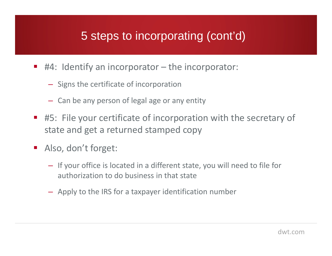# 5 steps to incorporating (cont'd)

- #4: Identify an incorporator the incorporator:
	- Signs the certificate of incorporation
	- Can be any person of legal age or any entity
- #5: File your certificate of incorporation with the secretary of state and get a returned stamped copy
- Also, don't forget:
	- If your office is located in a different state, you will need to file for authorization to do business in that state
	- Apply to the IRS for a taxpayer identification number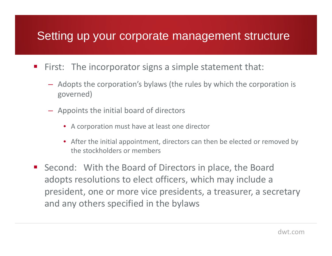### Setting up your corporate management structure

- **First:** The incorporator signs a simple statement that:
	- Adopts the corporation's bylaws (the rules by which the corporation is governed)
	- Appoints the initial board of directors
		- A corporation must have at least one director
		- After the initial appointment, directors can then be elected or removed by the stockholders or members
- Second: With the Board of Directors in place, the Board adopts resolutions to elect officers, which may include a president, one or more vice presidents, a treasurer, a secretary and any others specified in the bylaws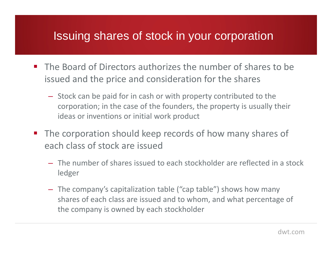### Issuing shares of stock in your corporation

- The Board of Directors authorizes the number of shares to be issued and the price and consideration for the shares
	- Stock can be paid for in cash or with property contributed to the corporation; in the case of the founders, the property is usually their ideas or inventions or initial work product
- $\mathcal{L}_{\text{max}}$  The corporation should keep records of how many shares of each class of stock are issued
	- The number of shares issued to each stockholder are reflected in a stock ledger
	- The company's capitalization table ("cap table") shows how many shares of each class are issued and to whom, and what percentage of the company is owned by each stockholder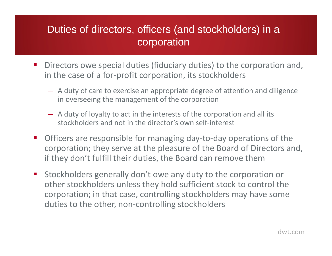### Duties of directors, officers (and stockholders) in a corporation

- $\mathcal{L}_{\mathcal{A}}$  Directors owe special duties (fiduciary duties) to the corporation and, in the case of a for-profit corporation, its stockholders
	- A duty of care to exercise an appropriate degree of attention and diligence in overseeing the management of the corporation
	- A duty of loyalty to act in the interests of the corporation and all its stockholders and not in the director's own self-interest
- $\mathcal{L}_{\mathcal{A}}$  Officers are responsible for managing day-to-day operations of the corporation; they serve at the pleasure of the Board of Directors and, if they don't fulfill their duties, the Board can remove them
- $\mathcal{L}_{\mathcal{A}}$  Stockholders generally don't owe any duty to the corporation or other stockholders unless they hold sufficient stock to control the corporation; in that case, controlling stockholders may have some duties to the other, non-controlling stockholders